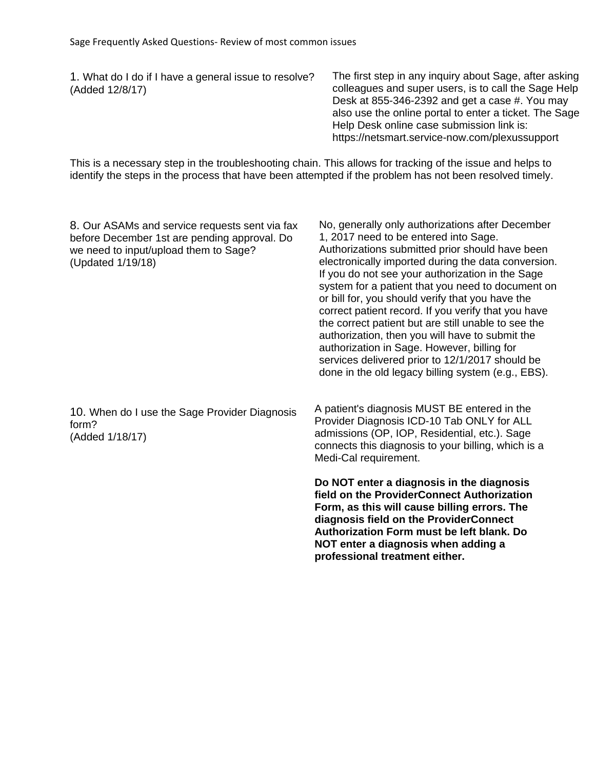1. What do I do if I have a general issue to resolve? (Added 12/8/17)

The first step in any inquiry about Sage, after asking colleagues and super users, is to call the Sage Help Desk at 855-346-2392 and get a case #. You may also use the online portal to enter a ticket. The Sage Help Desk online case submission link is: https://netsmart.service-now.com/plexussupport

This is a necessary step in the troubleshooting chain. This allows for tracking of the issue and helps to identify the steps in the process that have been attempted if the problem has not been resolved timely.

| 8. Our ASAMs and service requests sent via fax<br>before December 1st are pending approval. Do<br>we need to input/upload them to Sage?<br>(Updated 1/19/18) | No, generally only authorizations after December<br>1, 2017 need to be entered into Sage.<br>Authorizations submitted prior should have been<br>electronically imported during the data conversion.<br>If you do not see your authorization in the Sage<br>system for a patient that you need to document on<br>or bill for, you should verify that you have the<br>correct patient record. If you verify that you have<br>the correct patient but are still unable to see the<br>authorization, then you will have to submit the<br>authorization in Sage. However, billing for<br>services delivered prior to 12/1/2017 should be<br>done in the old legacy billing system (e.g., EBS). |
|--------------------------------------------------------------------------------------------------------------------------------------------------------------|-------------------------------------------------------------------------------------------------------------------------------------------------------------------------------------------------------------------------------------------------------------------------------------------------------------------------------------------------------------------------------------------------------------------------------------------------------------------------------------------------------------------------------------------------------------------------------------------------------------------------------------------------------------------------------------------|
| 10. When do I use the Sage Provider Diagnosis<br>form?<br>(Added 1/18/17)                                                                                    | A patient's diagnosis MUST BE entered in the<br>Provider Diagnosis ICD-10 Tab ONLY for ALL<br>admissions (OP, IOP, Residential, etc.). Sage<br>connects this diagnosis to your billing, which is a<br>Medi-Cal requirement.                                                                                                                                                                                                                                                                                                                                                                                                                                                               |
|                                                                                                                                                              | Do NOT enter a diagnosis in the diagnosis<br>field on the ProviderConnect Authorization<br>Form, as this will cause billing errors. The<br>diagnosis field on the ProviderConnect<br>Authorization Form must be left blank. Do<br>NOT enter a diagnosis when adding a<br>professional treatment either.                                                                                                                                                                                                                                                                                                                                                                                   |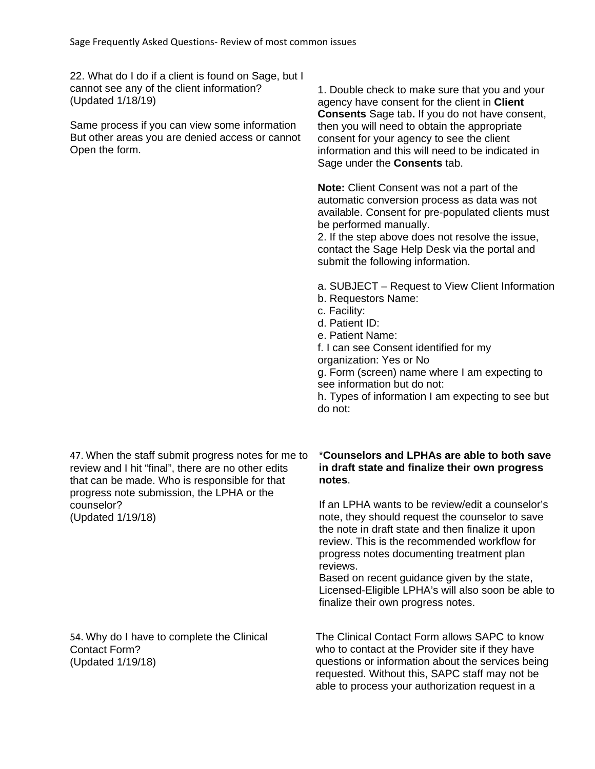22. What do I do if a client is found on Sage, but I cannot see any of the client information? (Updated 1/18/19)

Same process if you can view some information But other areas you are denied access or cannot Open the form.

1. Double check to make sure that you and your agency have consent for the client in **Client Consents** Sage tab**.** If you do not have consent, then you will need to obtain the appropriate consent for your agency to see the client information and this will need to be indicated in Sage under the **Consents** tab.

**Note:** Client Consent was not a part of the automatic conversion process as data was not available. Consent for pre-populated clients must be performed manually.

2. If the step above does not resolve the issue, contact the Sage Help Desk via the portal and submit the following information.

- a. SUBJECT Request to View Client Information
- b. Requestors Name:
- c. Facility:
- d. Patient ID:
- e. Patient Name:
- f. I can see Consent identified for my
- organization: Yes or No

g. Form (screen) name where I am expecting to see information but do not:

h. Types of information I am expecting to see but do not:

47. When the staff submit progress notes for me to review and I hit "final", there are no other edits that can be made. Who is responsible for that progress note submission, the LPHA or the counselor? (Updated 1/19/18)

## \***Counselors and LPHAs are able to both save in draft state and finalize their own progress notes**.

If an LPHA wants to be review/edit a counselor's note, they should request the counselor to save the note in draft state and then finalize it upon review. This is the recommended workflow for progress notes documenting treatment plan reviews.

Based on recent guidance given by the state, Licensed-Eligible LPHA's will also soon be able to finalize their own progress notes.

54. Why do I have to complete the Clinical Contact Form? (Updated 1/19/18)

The Clinical Contact Form allows SAPC to know who to contact at the Provider site if they have questions or information about the services being requested. Without this, SAPC staff may not be able to process your authorization request in a